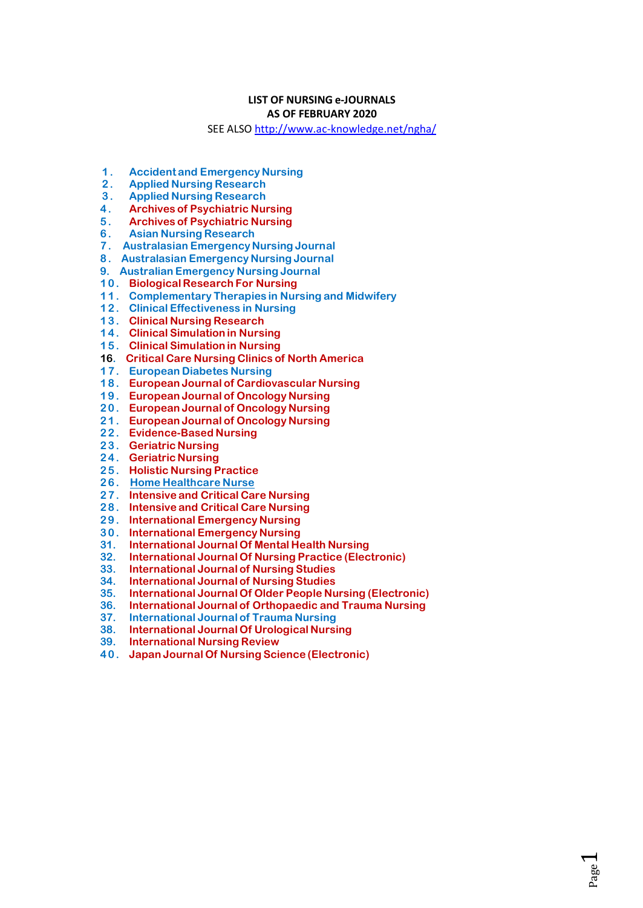## **LIST OF NURSING e-JOURNALS**

## **AS OF FEBRUARY 2020**

SEE ALSO http://www.ac-knowledge.net/ngha/

- $1.$ **Accident and Emergency Nursing**
- $2.$ **Applied Nursing Research**
- $3.$ **Applied Nursing Research**
- $4.$ **Archives of Psychiatric Nursing**
- $5<sub>1</sub>$ **Archives of Psychiatric Nursing**
- **Asian Nursing Research**  $6.$
- 7. Australasian Emergency Nursing Journal
- 8. Australasian Emergency Nursing Journal
- 9. Australian Emergency Nursing Journal
- 10. Biological Research For Nursing
- 11. Complementary Therapies in Nursing and Midwifery
- 12. Clinical Effectiveness in Nursing<br>13. Clinical Nursing Research<br>14. Clinical Simulation in Nursing
- 
- 
- 15. Clinical Simulation in Nursing
- 16. Critical Care Nursing Clinics of North America
- 17. European Diabetes Nursing
- 18. European Journal of Cardiovascular Nursing
- 19. European Journal of Oncology Nursing
- 20. European Journal of Oncology Nursing
- 21. European Journal of Oncology Nursing
- 22. Evidence-Based Nursing
- 23. Geriatric Nursing
- 24. Geriatric Nursing
- 25. Holistic Nursing Practice
- 26. Home Healthcare Nurse
- 27. Intensive and Critical Care Nursing
- 28. Intensive and Critical Care Nursing
- 29. International Emergency Nursing
- 30. International Emergency Nursing
- 
- 31. International Journal Of Mental Health Nursing<br>32. International Journal Of Nursing Practice (Electronic)<br>33. International Journal of Nursing Studies<br>34. International Journal of Nursing Studies
- 
- 
- $\overline{35}$ . International Journal Of Older People Nursing (Electronic)
- 36. International Journal of Orthopaedic and Trauma Nursing<br>37. International Journal of Trauma Nursing<br>37. International Journal of Trauma Nursing
- 
- $\frac{38}{38}$ International Journal Of Urological Nursing
- 39. **International Nursing Review**
- 40. Japan Journal Of Nursing Science (Electronic)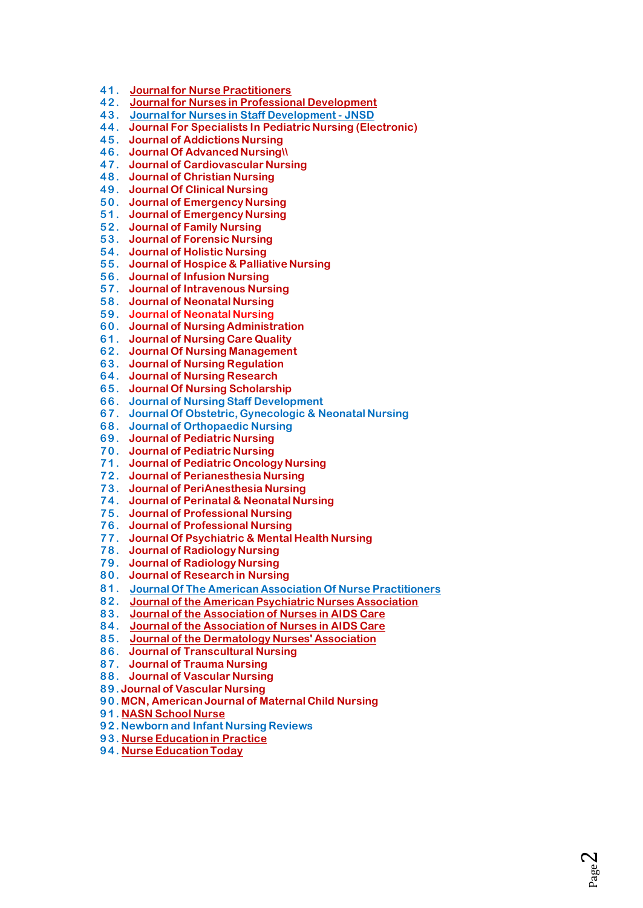- **41. Journal for Nurse [Practitioners](https://www.clinicalkey.com/nursing/dura/browse/journalIssue/15554155)**
- **42. Journal for Nurses in Professional [Development](http://ovidsp.ovid.com/ovidweb.cgi?T=JS&amp%3BNEWS=n&amp%3BCSC=Y&amp%3BPAGE=toc&amp%3BD=yrovft&amp%3BAN=01709760-000000000-00000)**
- **43. Journal for Nurses in Staff [Development](http://ovidsp.ovid.com/ovidweb.cgi?T=JS&amp%3BNEWS=n&amp%3BCSC=Y&amp%3BPAGE=toc&amp%3BD=yrovft&amp%3BAN=00124645-000000000-00000) - JNSD**
- **44. Journal For Specialists In Pediatric Nursing [\(Electronic\)](http://onlinelibrary.wiley.com/journal/10.1111/(ISSN)1744-6155/issues)**
- **45. Journal of [Addictions](http://ovidsp.ovid.com/ovidweb.cgi?T=JS&amp%3BNEWS=n&amp%3BCSC=Y&amp%3BPAGE=toc&amp%3BD=yrovft&amp%3BAN=00060867-000000000-00000) Nursing**
- **46. Journal Of [Advanced](http://onlinelibrary.wiley.com/journal/10.1111/(ISSN)1365-2648/issues) Nursing\\**
- **47. Journal of [Cardiovascular](http://ovidsp.ovid.com/ovidweb.cgi?T=JS&amp%3BNEWS=n&amp%3BCSC=Y&amp%3BPAGE=toc&amp%3BD=yrovft&amp%3BAN=00005082-000000000-00000) Nursing**
- **48. Journal of [Christian](http://ovidsp.ovid.com/ovidweb.cgi?T=JS&amp%3BNEWS=n&amp%3BCSC=Y&amp%3BPAGE=toc&amp%3BD=yrovft&amp%3BAN=00005217-000000000-00000) Nursing**
- **49. [Journal](http://onlinelibrary.wiley.com/journal/10.1111/(ISSN)1365-2702/issues) Of Clinical Nursing**
- **50. Journal of [Emergency](https://www.clinicalkey.com/nursing/dura/browse/journalIssue/00991767) Nursing**
- **51. Journal of [Emergency](http://www.sciencedirect.com/science/journal/00991767) Nursing**
- **52. [Journal](http://jfn.sagepub.com/) of Family Nursing**
- **53. Journal of [Forensic](http://ovidsp.ovid.com/ovidweb.cgi?T=JS&amp%3BNEWS=n&amp%3BCSC=Y&amp%3BPAGE=toc&amp%3BD=yrovft&amp%3BAN=01263942-000000000-00000) Nursing**
- **54. [Journal](http://jhn.sagepub.com/) of Holistic Nursing**
- **55. Journal of Hospice & [Palliative](http://ovidsp.ovid.com/ovidweb.cgi?T=JS&amp%3BNEWS=n&amp%3BCSC=Y&amp%3BPAGE=toc&amp%3BD=yrovft&amp%3BAN=00129191-000000000-00000) Nursing**
- **56. Journal of [Infusion](http://ovidsp.ovid.com/ovidweb.cgi?T=JS&amp%3BNEWS=n&amp%3BCSC=Y&amp%3BPAGE=toc&amp%3BD=yrovft&amp%3BAN=00129804-000000000-00000) Nursing**
- **57. Journal of [Intravenous](http://ovidsp.ovid.com/ovidweb.cgi?T=JS&amp%3BNEWS=n&amp%3BCSC=Y&amp%3BPAGE=toc&amp%3BD=yrovft&amp%3BAN=00005160-000000000-00000) Nursing**
- **58. Journal of [Neonatal](https://www.clinicalkey.com/nursing/dura/browse/journalIssue/13551841) Nursing**
- **59. Journal of [Neonatal](http://www.sciencedirect.com/science/journal/13551841) Nursing**
- **60. Journal of Nursing [Administration](http://ovidsp.ovid.com/ovidweb.cgi?T=JS&amp%3BNEWS=n&amp%3BCSC=Y&amp%3BPAGE=toc&amp%3BD=yrovft&amp%3BAN=00005110-000000000-00000)**
- **61. [Journal](http://ovidsp.ovid.com/ovidweb.cgi?T=JS&amp%3BNEWS=n&amp%3BCSC=Y&amp%3BPAGE=toc&amp%3BD=yrovft&amp%3BAN=00001786-000000000-00000) of Nursing Care Quality**
- **62. Journal Of Nursing [Management](http://onlinelibrary.wiley.com/journal/10.1111/(ISSN)1365-2834/issues)**
- **63. Journal of Nursing [Regulation](https://www.clinicalkey.com/nursing/dura/browse/journalIssue/21558256)**
- **64. Journal of Nursing [Research](http://ovidsp.ovid.com/ovidweb.cgi?T=JS&amp%3BNEWS=n&amp%3BCSC=Y&amp%3BPAGE=toc&amp%3BD=yrovft&amp%3BAN=00134372-000000000-00000)**
- **65. Journal Of Nursing [Scholarship](http://onlinelibrary.wiley.com/journal/10.1111/(ISSN)1547-5069/issues)**
- **66. Journal of Nursing Staff [Development](http://ovidsp.ovid.com/ovidweb.cgi?T=JS&amp%3BNEWS=n&amp%3BCSC=Y&amp%3BPAGE=toc&amp%3BD=yrovft&amp%3BAN=00005108-000000000-00000)**
- **67. Journal Of Obstetric, [Gynecologic](http://onlinelibrary.wiley.com/journal/10.1111/(ISSN)1552-6909/issues) & Neonatal Nursing**
- **68. Journal of [Orthopaedic](http://www.sciencedirect.com/science/journal/13613111) Nursing**
- **69. Journal of [Pediatric](https://www.clinicalkey.com/nursing/dura/browse/journalIssue/08825963) Nursing**
- **70. Journal of [Pediatric](http://www.sciencedirect.com/science/journal/08825963) Nursing**
- **71. Journal of Pediatric [Oncology](http://jpo.sagepub.com/) Nursing**
- **72. Journal of [Perianesthesia](https://www.clinicalkey.com/nursing/dura/browse/journalIssue/10899472) Nursing**
- **73. Journal of [PeriAnesthesia](http://www.sciencedirect.com/science/journal/10899472) Nursing**
- **74. Journal of Perinatal & [NeonatalNursing](http://ovidsp.ovid.com/ovidweb.cgi?T=JS&amp%3BNEWS=n&amp%3BCSC=Y&amp%3BPAGE=toc&amp%3BD=yrovft&amp%3BAN=00005237-000000000-00000)**
- **75. Journal of [Professional](https://www.clinicalkey.com/nursing/dura/browse/journalIssue/87557223) Nursing**
- **76. Journal of [Professional](http://www.sciencedirect.com/science/journal/87557223) Nursing**
- **77. Journal Of [Psychiatric](http://onlinelibrary.wiley.com/journal/10.1111/(ISSN)1365-2850/issues) & Mental Health Nursing**
- **78. Journal of [Radiology](https://www.clinicalkey.com/nursing/dura/browse/journalIssue/15460843) Nursing**
- **79. Journal of [Radiology](http://www.sciencedirect.com/science/journal/15460843) Nursing**
- **80. Journal of [Research](http://jrn.sagepub.com/) in Nursing**
- **81. Journal Of The American Association Of Nurse [Practitioners](http://onlinelibrary.wiley.com/journal/10.1002/(ISSN)2327-6924/issues)**
- **82. Journal of the American Psychiatric Nurses [Association](http://jap.sagepub.com/)**
- **8 3. Journal of the [Association](http://www.sciencedirect.com/science/journal/10553290) of Nurses in AIDS Care**
- **8 4. Journal of the [Association](https://www.clinicalkey.com/nursing/dura/browse/journalIssue/10553290) of Nurses in AIDS Care**
- **8 5. Journal of the [Dermatology](http://ovidsp.ovid.com/ovidweb.cgi?T=JS&amp%3BNEWS=n&amp%3BCSC=Y&amp%3BPAGE=toc&amp%3BD=yrovft&amp%3BAN=01412499-000000000-00000) Nurses' Association**
- **8 6. Journal of [Transcultural](http://tcn.sagepub.com/) Nursing**
- **8 7. [Journal](http://ovidsp.ovid.com/ovidweb.cgi?T=JS&amp%3BNEWS=n&amp%3BCSC=Y&amp%3BPAGE=toc&amp%3BD=yrovft&amp%3BAN=00043860-000000000-00000) of Trauma Nursing**
- **8 8. Journal of [Vascular](https://www.clinicalkey.com/nursing/dura/browse/journalIssue/10620303) Nursing**
- **8 9. Journal of [Vascular](http://www.sciencedirect.com/science/journal/10620303) Nursing**
- **9 0. MCN, [American](http://ovidsp.ovid.com/ovidweb.cgi?T=JS&amp%3BNEWS=n&amp%3BCSC=Y&amp%3BPAGE=toc&amp%3BD=yrovft&amp%3BAN=00005721-000000000-00000) Journal of Maternal Child Nursing**
- **9 1. NASN [School](http://nas.sagepub.com/) Nurse**
- **9 2. [Newborn](https://www.clinicalkey.com/nursing/dura/browse/journalIssue/15273369) and Infant Nursing Reviews**
- **9 3. Nurse [Education](http://www.sciencedirect.com/science/journal/14715953) in Practice**
- **9 4. Nurse [EducationToday](https://www.clinicalkey.com/nursing/dura/browse/journalIssue/02606917)**